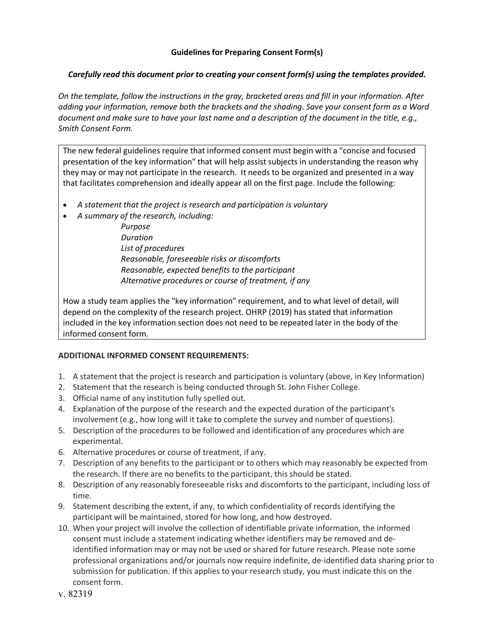# **Guidelines for Preparing Consent Form(s)**

### *Carefully read this document prior to creating your consent form(s) using the templates provided.*

*On the template, follow the instructions in the gray, bracketed areas and fill in your information. After adding your information, remove both the brackets and the shading. Save your consent form as a Word document and make sure to have your last name and a description of the document in the title, e.g., Smith Consent Form.* 

The new federal guidelines require that informed consent must begin with a "concise and focused presentation of the key information" that will help assist subjects in understanding the reason why they may or may not participate in the research. It needs to be organized and presented in a way that facilitates comprehension and ideally appear all on the first page. Include the following:

- *A statement that the project is research and participation is voluntary*
- *A summary of the research, including:*

*Purpose Duration List of procedures Reasonable, foreseeable risks or discomforts Reasonable, expected benefits to the participant Alternative procedures or course of treatment, if any*

How a study team applies the "key information" requirement, and to what level of detail, will depend on the complexity of the research project. OHRP (2019) has stated that information included in the key information section does not need to be repeated later in the body of the informed consent form.

#### **ADDITIONAL INFORMED CONSENT REQUIREMENTS:**

- 1. A statement that the project is research and participation is voluntary (above, in Key Information)
- 2. Statement that the research is being conducted through St. John Fisher College.
- 3. Official name of any institution fully spelled out.
- 4. Explanation of the purpose of the research and the expected duration of the participant's involvement (e.g., how long will it take to complete the survey and number of questions).
- 5. Description of the procedures to be followed and identification of any procedures which are experimental.
- 6. Alternative procedures or course of treatment, if any.
- 7. Description of any benefits to the participant or to others which may reasonably be expected from the research. If there are no benefits to the participant, this should be stated.
- 8. Description of any reasonably foreseeable risks and discomforts to the participant, including loss of time.
- 9. Statement describing the extent, if any, to which confidentiality of records identifying the participant will be maintained, stored for how long, and how destroyed.
- 10. When your project will involve the collection of identifiable private information, the informed consent must include a statement indicating whether identifiers may be removed and deidentified information may or may not be used or shared for future research. Please note some professional organizations and/or journals now require indefinite, de-identified data sharing prior to submission for publication. If this applies to your research study, you must indicate this on the consent form.
- v. 82319